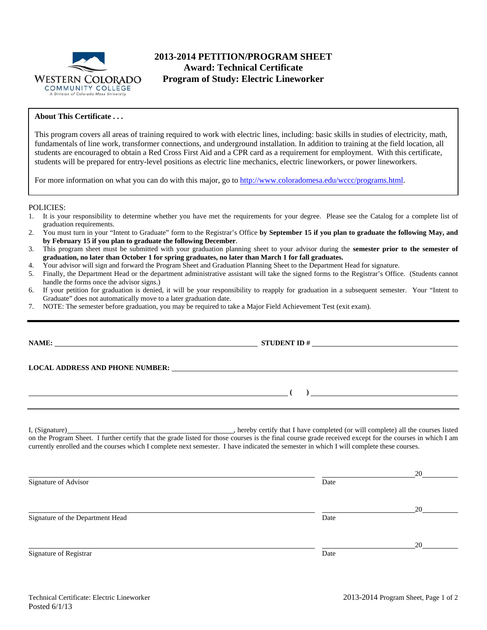

# **2013-2014 PETITION/PROGRAM SHEET Award: Technical Certificate Program of Study: Electric Lineworker**

# **About This Certificate . . .**

This program covers all areas of training required to work with electric lines, including: basic skills in studies of electricity, math, fundamentals of line work, transformer connections, and underground installation. In addition to training at the field location, all students are encouraged to obtain a Red Cross First Aid and a CPR card as a requirement for employment. With this certificate, students will be prepared for entry-level positions as electric line mechanics, electric lineworkers, or power lineworkers.

For more information on what you can do with this major, go to http://www.coloradomesa.edu/wccc/programs.html.

## POLICIES:

- 1. It is your responsibility to determine whether you have met the requirements for your degree. Please see the Catalog for a complete list of graduation requirements.
- 2. You must turn in your "Intent to Graduate" form to the Registrar's Office **by September 15 if you plan to graduate the following May, and by February 15 if you plan to graduate the following December**.
- 3. This program sheet must be submitted with your graduation planning sheet to your advisor during the **semester prior to the semester of graduation, no later than October 1 for spring graduates, no later than March 1 for fall graduates.**
- 4. Your advisor will sign and forward the Program Sheet and Graduation Planning Sheet to the Department Head for signature.
- 5. Finally, the Department Head or the department administrative assistant will take the signed forms to the Registrar's Office. (Students cannot handle the forms once the advisor signs.)
- 6. If your petition for graduation is denied, it will be your responsibility to reapply for graduation in a subsequent semester. Your "Intent to Graduate" does not automatically move to a later graduation date.
- 7. NOTE: The semester before graduation, you may be required to take a Major Field Achievement Test (exit exam).

|                                  | $\overline{a}$ (b) and the contract of $\overline{a}$ (b) and the contract of $\overline{a}$ (b) and the contract of $\overline{a}$      |                      |
|----------------------------------|------------------------------------------------------------------------------------------------------------------------------------------|----------------------|
|                                  | currently enrolled and the courses which I complete next semester. I have indicated the semester in which I will complete these courses. |                      |
|                                  |                                                                                                                                          |                      |
| Signature of Advisor             | Date                                                                                                                                     |                      |
|                                  |                                                                                                                                          |                      |
| Signature of the Department Head | Date                                                                                                                                     |                      |
|                                  |                                                                                                                                          | $20 \quad \text{or}$ |
| Signature of Registrar           | Date                                                                                                                                     |                      |